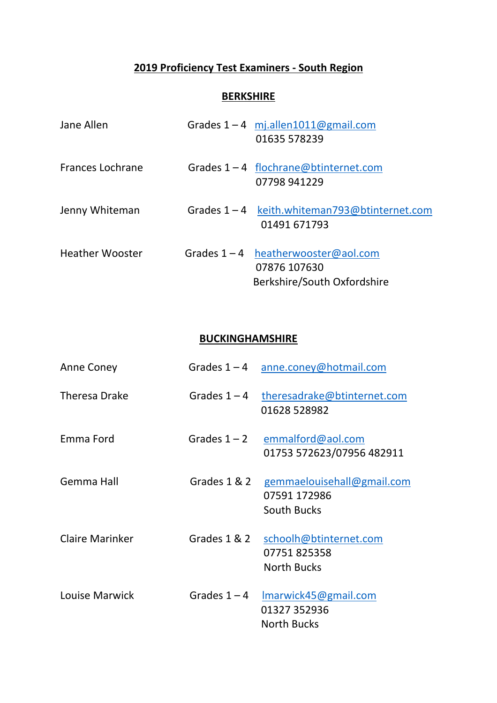## **2019 Proficiency Test Examiners - South Region**

## **BERKSHIRE**

| Jane Allen             | Grades $1 - 4$ mj.allen1011@gmail.com<br>01635 578239                                |
|------------------------|--------------------------------------------------------------------------------------|
| Frances Lochrane       | Grades $1 - 4$ flochrane@btinternet.com<br>07798 941229                              |
| Jenny Whiteman         | Grades 1-4 keith.whiteman793@btinternet.com<br>01491 671793                          |
| <b>Heather Wooster</b> | Grades $1 - 4$ heatherwooster@aol.com<br>07876 107630<br>Berkshire/South Oxfordshire |

## **BUCKINGHAMSHIRE**

| Anne Coney             |                | Grades 1-4 anne.coney@hotmail.com                                             |
|------------------------|----------------|-------------------------------------------------------------------------------|
| <b>Theresa Drake</b>   |                | Grades 1-4 theresadrake@btinternet.com<br>01628 528982                        |
| Emma Ford              |                | Grades $1 - 2$ emmalford@aol.com<br>01753 572623/07956 482911                 |
| Gemma Hall             |                | Grades 1 & 2 gemmaelouisehall@gmail.com<br>07591 172986<br><b>South Bucks</b> |
| <b>Claire Marinker</b> | Grades 1 & 2   | schoolh@btinternet.com<br>07751825358<br><b>North Bucks</b>                   |
| Louise Marwick         | Grades $1 - 4$ | Imarwick45@gmail.com<br>01327 352936<br><b>North Bucks</b>                    |